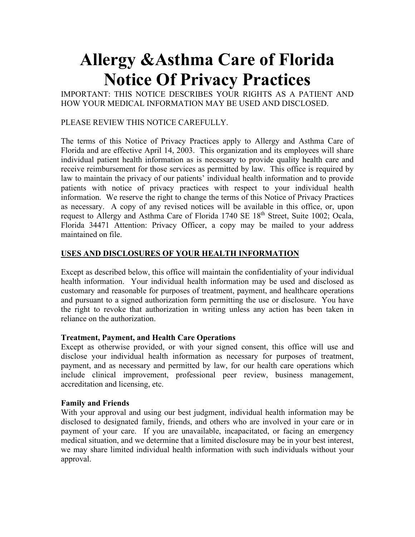# **Allergy &Asthma Care of Florida Notice Of Privacy Practices**

IMPORTANT: THIS NOTICE DESCRIBES YOUR RIGHTS AS A PATIENT AND HOW YOUR MEDICAL INFORMATION MAY BE USED AND DISCLOSED.

# PLEASE REVIEW THIS NOTICE CAREFULLY.

The terms of this Notice of Privacy Practices apply to Allergy and Asthma Care of Florida and are effective April 14, 2003. This organization and its employees will share individual patient health information as is necessary to provide quality health care and receive reimbursement for those services as permitted by law. This office is required by law to maintain the privacy of our patients' individual health information and to provide patients with notice of privacy practices with respect to your individual health information. We reserve the right to change the terms of this Notice of Privacy Practices as necessary. A copy of any revised notices will be available in this office, or, upon request to Allergy and Asthma Care of Florida 1740 SE  $18<sup>th</sup>$  Street, Suite 1002; Ocala, Florida 34471 Attention: Privacy Officer, a copy may be mailed to your address maintained on file.

# **USES AND DISCLOSURES OF YOUR HEALTH INFORMATION**

Except as described below, this office will maintain the confidentiality of your individual health information. Your individual health information may be used and disclosed as customary and reasonable for purposes of treatment, payment, and healthcare operations and pursuant to a signed authorization form permitting the use or disclosure. You have the right to revoke that authorization in writing unless any action has been taken in reliance on the authorization.

# **Treatment, Payment, and Health Care Operations**

Except as otherwise provided, or with your signed consent, this office will use and disclose your individual health information as necessary for purposes of treatment, payment, and as necessary and permitted by law, for our health care operations which include clinical improvement, professional peer review, business management, accreditation and licensing, etc.

## **Family and Friends**

With your approval and using our best judgment, individual health information may be disclosed to designated family, friends, and others who are involved in your care or in payment of your care. If you are unavailable, incapacitated, or facing an emergency medical situation, and we determine that a limited disclosure may be in your best interest, we may share limited individual health information with such individuals without your approval.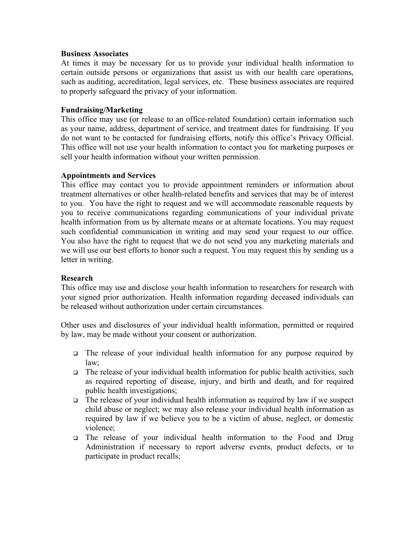#### **Business Associates**

At times it may be necessary for us to provide your individual health information to certain outside persons or organizations that assist us with our health care operations, such as auditing, accreditation, legal services, etc. These business associates are required to properly safeguard the privacy of your information.

## **Fundraising/Marketing**

This office may use (or release to an office-related foundation) certain information such as your name, address, department of service, and treatment dates for fundraising. If you do not want to be contacted for fundraising efforts, notify this office's Privacy Official. This office will not use your health information to contact you for marketing purposes or sell your health information without your written permission.

## **Appointments and Services**

This office may contact you to provide appointment reminders or information about treatment alternatives or other health-related benefits and services that may be of interest to you. You have the right to request and we will accommodate reasonable requests by you to receive communications regarding communications of your individual private health information from us by alternate means or at alternate locations. You may request such confidential communication in writing and may send your request to our office. You also have the right to request that we do not send you any marketing materials and we will use our best efforts to honor such a request. You may request this by sending us a letter in writing.

## **Research**

This office may use and disclose your health information to researchers for research with your signed prior authorization. Health information regarding deceased individuals can be released without authorization under certain circumstances.

Other uses and disclosures of your individual health information, permitted or required by law, may be made without your consent or authorization.

- The release of your individual health information for any purpose required by law;
- $\Box$  The release of your individual health information for public health activities, such as required reporting of disease, injury, and birth and death, and for required public health investigations;
- $\Box$  The release of your individual health information as required by law if we suspect child abuse or neglect; we may also release your individual health information as required by law if we believe you to be a victim of abuse, neglect, or domestic violence;
- The release of your individual health information to the Food and Drug Administration if necessary to report adverse events, product defects, or to participate in product recalls;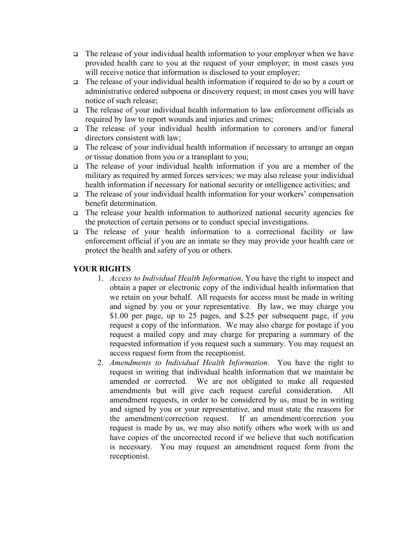- $\Box$  The release of your individual health information to your employer when we have provided health care to you at the request of your employer; in most cases you will receive notice that information is disclosed to your employer;
- $\Box$  The release of your individual health information if required to do so by a court or administrative ordered subpoena or discovery request; in most cases you will have notice of such release;
- The release of your individual health information to law enforcement officials as required by law to report wounds and injuries and crimes;
- The release of your individual health information to coroners and/or funeral directors consistent with law;
- The release of your individual health information if necessary to arrange an organ or tissue donation from you or a transplant to you;
- The release of your individual health information if you are a member of the military as required by armed forces services; we may also release your individual health information if necessary for national security or intelligence activities; and
- $\Box$  The release of your individual health information for your workers' compensation benefit determination.
- The release your health information to authorized national security agencies for the protection of certain persons or to conduct special investigations.
- The release of your health information to a correctional facility or law enforcement official if you are an inmate so they may provide your health care or protect the health and safety of you or others.

# **YOUR RIGHTS**

- 1. *Access to Individual Health Information*. You have the right to inspect and obtain a paper or electronic copy of the individual health information that we retain on your behalf. All requests for access must be made in writing and signed by you or your representative. By law, we may charge you \$1.00 per page, up to 25 pages, and \$.25 per subsequent page, if you request a copy of the information. We may also charge for postage if you request a mailed copy and may charge for preparing a summary of the requested information if you request such a summary. You may request an access request form from the receptionist.
- 2. *Amendments to Individual Health Information*. You have the right to request in writing that individual health information that we maintain be amended or corrected. We are not obligated to make all requested amendments but will give each request careful consideration. All amendment requests, in order to be considered by us, must be in writing and signed by you or your representative, and must state the reasons for the amendment/correction request. If an amendment/correction you request is made by us, we may also notify others who work with us and have copies of the uncorrected record if we believe that such notification is necessary. You may request an amendment request form from the receptionist.